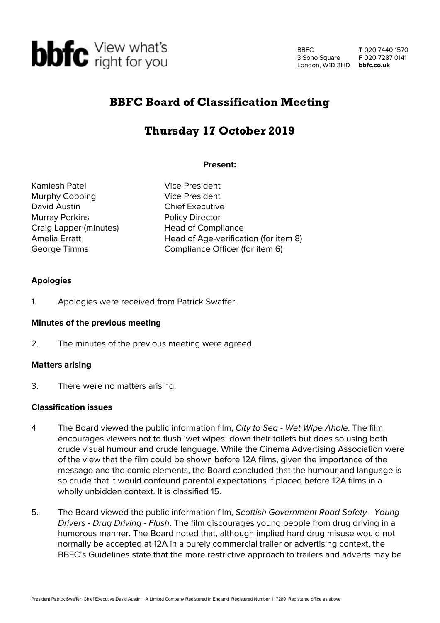

BBFC 3 Soho Square London, W1D 3HD **bbfc.co.uk**

**T** 020 7440 1570 **F** 020 7287 0141

## BBFC Board of Classification Meeting

# Thursday 17 October 2019

## **Present:**

Kamlesh Patel **Vice President** Murphy Cobbing Vice President David Austin **Chief Executive** Murray Perkins **Policy Director** Craig Lapper (minutes) Head of Compliance

Amelia Erratt **Head of Age-verification (for item 8)** George Timms **Compliance Officer (for item 6)** 

## **Apologies**

1. Apologies were received from Patrick Swaffer.

### **Minutes of the previous meeting**

2. The minutes of the previous meeting were agreed.

### **Matters arising**

3. There were no matters arising.

## **Classification issues**

- 4 The Board viewed the public information film, City to Sea Wet Wipe Ahole. The film encourages viewers not to flush 'wet wipes' down their toilets but does so using both crude visual humour and crude language. While the Cinema Advertising Association were of the view that the film could be shown before 12A films, given the importance of the message and the comic elements, the Board concluded that the humour and language is so crude that it would confound parental expectations if placed before 12A films in a wholly unbidden context. It is classified 15.
- 5. The Board viewed the public information film, Scottish Government Road Safety Young Drivers - Drug Driving - Flush. The film discourages young people from drug driving in a humorous manner. The Board noted that, although implied hard drug misuse would not normally be accepted at 12A in a purely commercial trailer or advertising context, the BBFC's Guidelines state that the more restrictive approach to trailers and adverts may be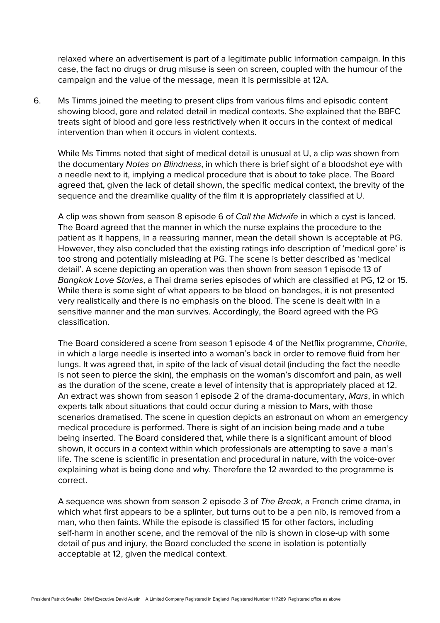relaxed where an advertisement is part of a legitimate public information campaign. In this case, the fact no drugs or drug misuse is seen on screen, coupled with the humour of the campaign and the value of the message, mean it is permissible at 12A.

6. Ms Timms joined the meeting to present clips from various films and episodic content showing blood, gore and related detail in medical contexts. She explained that the BBFC treats sight of blood and gore less restrictively when it occurs in the context of medical intervention than when it occurs in violent contexts.

While Ms Timms noted that sight of medical detail is unusual at U, a clip was shown from the documentary Notes on Blindness, in which there is brief sight of a bloodshot eye with a needle next to it, implying a medical procedure that is about to take place. The Board agreed that, given the lack of detail shown, the specific medical context, the brevity of the sequence and the dreamlike quality of the film it is appropriately classified at U.

A clip was shown from season 8 episode 6 of Call the Midwife in which a cyst is lanced. The Board agreed that the manner in which the nurse explains the procedure to the patient as it happens, in a reassuring manner, mean the detail shown is acceptable at PG. However, they also concluded that the existing ratings info description of 'medical gore' is too strong and potentially misleading at PG. The scene is better described as 'medical detail'. A scene depicting an operation was then shown from season 1 episode 13 of Bangkok Love Stories, a Thai drama series episodes of which are classified at PG, 12 or 15. While there is some sight of what appears to be blood on bandages, it is not presented very realistically and there is no emphasis on the blood. The scene is dealt with in a sensitive manner and the man survives. Accordingly, the Board agreed with the PG classification.

The Board considered a scene from season 1 episode 4 of the Netflix programme, Charite, in which a large needle is inserted into a woman's back in order to remove fluid from her lungs. It was agreed that, in spite of the lack of visual detail (including the fact the needle is not seen to pierce the skin), the emphasis on the woman's discomfort and pain, as well as the duration of the scene, create a level of intensity that is appropriately placed at 12. An extract was shown from season 1 episode 2 of the drama-documentary, Mars, in which experts talk about situations that could occur during a mission to Mars, with those scenarios dramatised. The scene in question depicts an astronaut on whom an emergency medical procedure is performed. There is sight of an incision being made and a tube being inserted. The Board considered that, while there is a significant amount of blood shown, it occurs in a context within which professionals are attempting to save a man's life. The scene is scientific in presentation and procedural in nature, with the voice-over explaining what is being done and why. Therefore the 12 awarded to the programme is correct.

A sequence was shown from season 2 episode 3 of The Break, a French crime drama, in which what first appears to be a splinter, but turns out to be a pen nib, is removed from a man, who then faints. While the episode is classified 15 for other factors, including self-harm in another scene, and the removal of the nib is shown in close-up with some detail of pus and injury, the Board concluded the scene in isolation is potentially acceptable at 12, given the medical context.